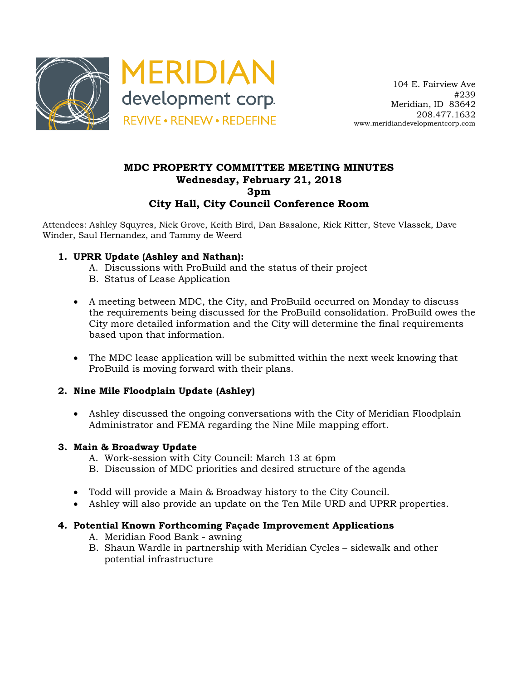



# **MDC PROPERTY COMMITTEE MEETING MINUTES Wednesday, February 21, 2018 3pm City Hall, City Council Conference Room**

Attendees: Ashley Squyres, Nick Grove, Keith Bird, Dan Basalone, Rick Ritter, Steve Vlassek, Dave Winder, Saul Hernandez, and Tammy de Weerd

## **1. UPRR Update (Ashley and Nathan):**

- A. Discussions with ProBuild and the status of their project
- B. Status of Lease Application
- A meeting between MDC, the City, and ProBuild occurred on Monday to discuss the requirements being discussed for the ProBuild consolidation. ProBuild owes the City more detailed information and the City will determine the final requirements based upon that information.
- The MDC lease application will be submitted within the next week knowing that ProBuild is moving forward with their plans.

## **2. Nine Mile Floodplain Update (Ashley)**

• Ashley discussed the ongoing conversations with the City of Meridian Floodplain Administrator and FEMA regarding the Nine Mile mapping effort.

### **3. Main & Broadway Update**

- A. Work-session with City Council: March 13 at 6pm
- B. Discussion of MDC priorities and desired structure of the agenda
- Todd will provide a Main & Broadway history to the City Council.
- Ashley will also provide an update on the Ten Mile URD and UPRR properties.

## **4. Potential Known Forthcoming Façade Improvement Applications**

- A. Meridian Food Bank awning
- B. Shaun Wardle in partnership with Meridian Cycles sidewalk and other potential infrastructure